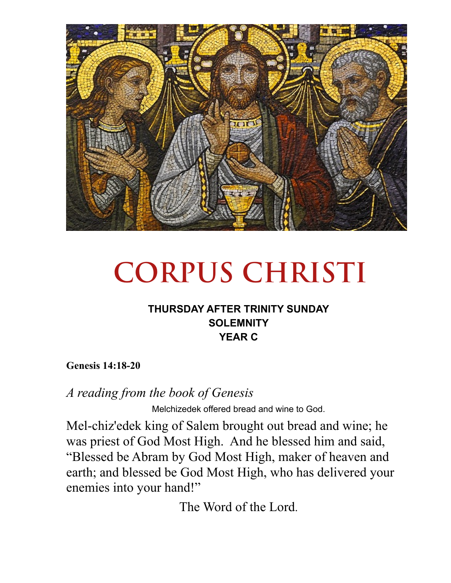

# **CORPUS CHRISTI**

## **THURSDAY AFTER TRINITY SUNDAY SOLEMNITY YEAR C**

**Genesis 14:18-20** 

*A reading from the book of Genesis* 

Melchizedek offered bread and wine to God.

Mel-chiz'edek king of Salem brought out bread and wine; he was priest of God Most High. And he blessed him and said, "Blessed be Abram by God Most High, maker of heaven and earth; and blessed be God Most High, who has delivered your enemies into your hand!"

The Word of the Lord.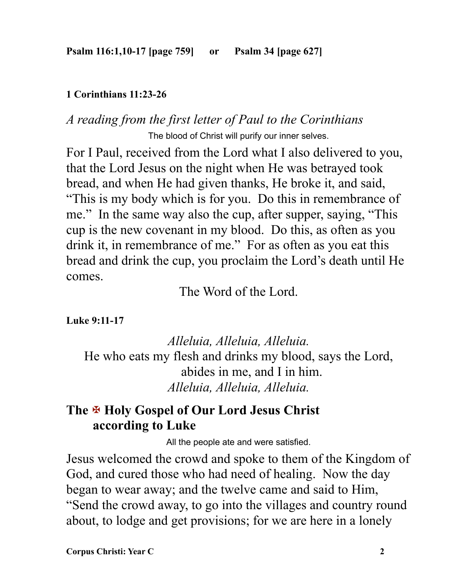#### **1 Corinthians 11:23-26**

## *A reading from the first letter of Paul to the Corinthians*  The blood of Christ will purify our inner selves.

For I Paul, received from the Lord what I also delivered to you, that the Lord Jesus on the night when He was betrayed took bread, and when He had given thanks, He broke it, and said, "This is my body which is for you. Do this in remembrance of me." In the same way also the cup, after supper, saying, "This cup is the new covenant in my blood. Do this, as often as you drink it, in remembrance of me." For as often as you eat this bread and drink the cup, you proclaim the Lord's death until He comes.

The Word of the Lord.

**Luke 9:11-17** 

*Alleluia, Alleluia, Alleluia.*  He who eats my flesh and drinks my blood, says the Lord, abides in me, and I in him. *Alleluia, Alleluia, Alleluia.*

# **The** X **Holy Gospel of Our Lord Jesus Christ according to Luke**

All the people ate and were satisfied.

Jesus welcomed the crowd and spoke to them of the Kingdom of God, and cured those who had need of healing. Now the day began to wear away; and the twelve came and said to Him, "Send the crowd away, to go into the villages and country round about, to lodge and get provisions; for we are here in a lonely